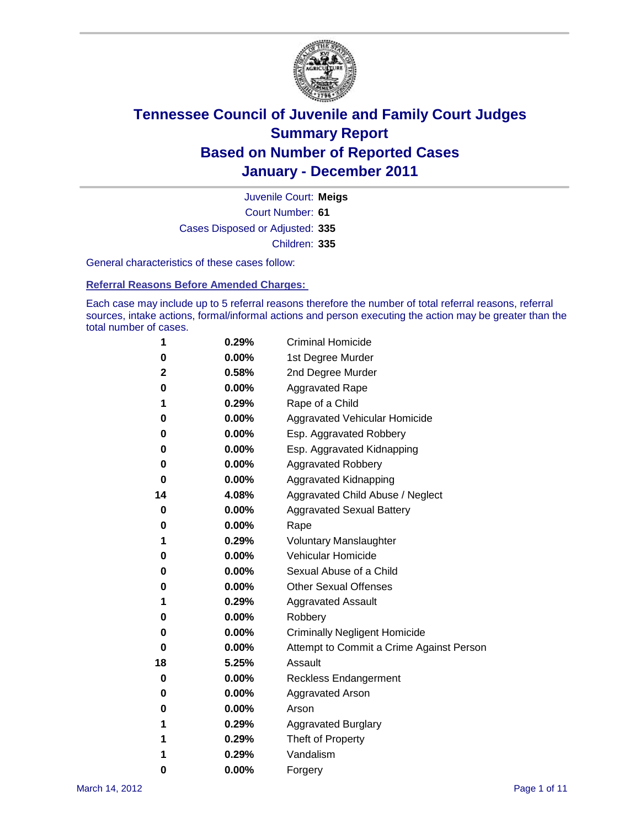

Court Number: **61** Juvenile Court: **Meigs** Cases Disposed or Adjusted: **335** Children: **335**

General characteristics of these cases follow:

**Referral Reasons Before Amended Charges:** 

Each case may include up to 5 referral reasons therefore the number of total referral reasons, referral sources, intake actions, formal/informal actions and person executing the action may be greater than the total number of cases.

| 1  | 0.29% | <b>Criminal Homicide</b>                 |
|----|-------|------------------------------------------|
| 0  | 0.00% | 1st Degree Murder                        |
| 2  | 0.58% | 2nd Degree Murder                        |
| 0  | 0.00% | <b>Aggravated Rape</b>                   |
| 1  | 0.29% | Rape of a Child                          |
| 0  | 0.00% | Aggravated Vehicular Homicide            |
| 0  | 0.00% | Esp. Aggravated Robbery                  |
| 0  | 0.00% | Esp. Aggravated Kidnapping               |
| 0  | 0.00% | <b>Aggravated Robbery</b>                |
| 0  | 0.00% | Aggravated Kidnapping                    |
| 14 | 4.08% | Aggravated Child Abuse / Neglect         |
| 0  | 0.00% | <b>Aggravated Sexual Battery</b>         |
| 0  | 0.00% | Rape                                     |
| 1  | 0.29% | <b>Voluntary Manslaughter</b>            |
| 0  | 0.00% | Vehicular Homicide                       |
| 0  | 0.00% | Sexual Abuse of a Child                  |
| 0  | 0.00% | <b>Other Sexual Offenses</b>             |
| 1  | 0.29% | <b>Aggravated Assault</b>                |
| 0  | 0.00% | Robbery                                  |
| 0  | 0.00% | <b>Criminally Negligent Homicide</b>     |
| 0  | 0.00% | Attempt to Commit a Crime Against Person |
| 18 | 5.25% | Assault                                  |
| 0  | 0.00% | <b>Reckless Endangerment</b>             |
| 0  | 0.00% | <b>Aggravated Arson</b>                  |
| 0  | 0.00% | Arson                                    |
| 1  | 0.29% | <b>Aggravated Burglary</b>               |
| 1  | 0.29% | Theft of Property                        |
| 1  | 0.29% | Vandalism                                |
| 0  | 0.00% | Forgery                                  |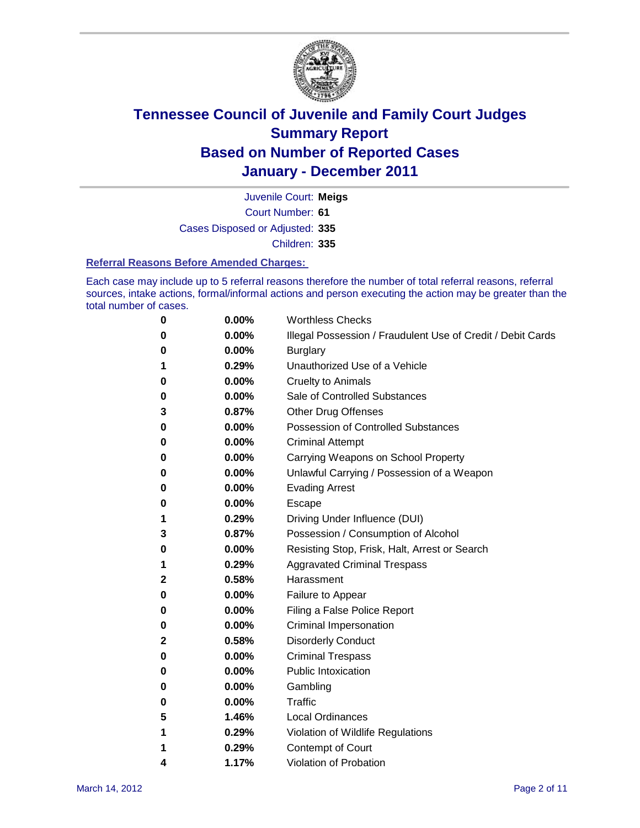

Court Number: **61** Juvenile Court: **Meigs** Cases Disposed or Adjusted: **335** Children: **335**

#### **Referral Reasons Before Amended Charges:**

Each case may include up to 5 referral reasons therefore the number of total referral reasons, referral sources, intake actions, formal/informal actions and person executing the action may be greater than the total number of cases.

| 0            | 0.00%    | <b>Worthless Checks</b>                                     |
|--------------|----------|-------------------------------------------------------------|
| 0            | 0.00%    | Illegal Possession / Fraudulent Use of Credit / Debit Cards |
| 0            | 0.00%    | <b>Burglary</b>                                             |
| 1            | 0.29%    | Unauthorized Use of a Vehicle                               |
| 0            | $0.00\%$ | <b>Cruelty to Animals</b>                                   |
| 0            | 0.00%    | Sale of Controlled Substances                               |
| 3            | 0.87%    | <b>Other Drug Offenses</b>                                  |
| 0            | 0.00%    | <b>Possession of Controlled Substances</b>                  |
| 0            | 0.00%    | <b>Criminal Attempt</b>                                     |
| 0            | 0.00%    | Carrying Weapons on School Property                         |
| 0            | 0.00%    | Unlawful Carrying / Possession of a Weapon                  |
| 0            | $0.00\%$ | <b>Evading Arrest</b>                                       |
| 0            | $0.00\%$ | Escape                                                      |
| 1            | 0.29%    | Driving Under Influence (DUI)                               |
| 3            | 0.87%    | Possession / Consumption of Alcohol                         |
| 0            | $0.00\%$ | Resisting Stop, Frisk, Halt, Arrest or Search               |
| 1            | 0.29%    | <b>Aggravated Criminal Trespass</b>                         |
| $\mathbf{2}$ | 0.58%    | Harassment                                                  |
| 0            | 0.00%    | Failure to Appear                                           |
| 0            | 0.00%    | Filing a False Police Report                                |
| 0            | 0.00%    | Criminal Impersonation                                      |
| 2            | 0.58%    | <b>Disorderly Conduct</b>                                   |
| 0            | 0.00%    | <b>Criminal Trespass</b>                                    |
| 0            | 0.00%    | <b>Public Intoxication</b>                                  |
| 0            | 0.00%    | Gambling                                                    |
| 0            | 0.00%    | Traffic                                                     |
| 5            | 1.46%    | <b>Local Ordinances</b>                                     |
| 1            | 0.29%    | Violation of Wildlife Regulations                           |
| 1            | 0.29%    | Contempt of Court                                           |
| 4            | 1.17%    | Violation of Probation                                      |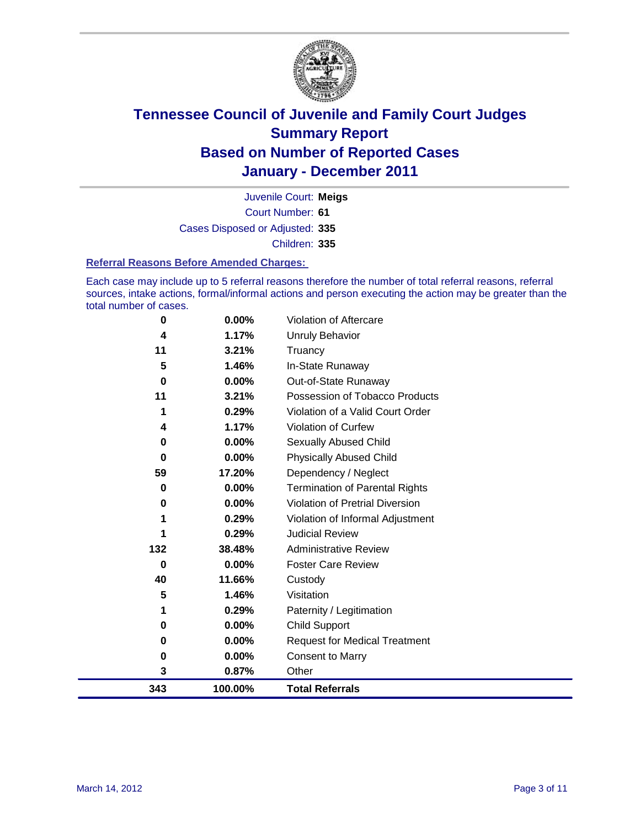

Court Number: **61** Juvenile Court: **Meigs** Cases Disposed or Adjusted: **335** Children: **335**

#### **Referral Reasons Before Amended Charges:**

Each case may include up to 5 referral reasons therefore the number of total referral reasons, referral sources, intake actions, formal/informal actions and person executing the action may be greater than the total number of cases.

| 0   | 0.00%    | Violation of Aftercare                 |
|-----|----------|----------------------------------------|
| 4   | 1.17%    | <b>Unruly Behavior</b>                 |
| 11  | 3.21%    | Truancy                                |
| 5   | 1.46%    | In-State Runaway                       |
| 0   | 0.00%    | Out-of-State Runaway                   |
| 11  | 3.21%    | Possession of Tobacco Products         |
|     | 0.29%    | Violation of a Valid Court Order       |
| 4   | 1.17%    | Violation of Curfew                    |
| 0   | 0.00%    | Sexually Abused Child                  |
| 0   | 0.00%    | <b>Physically Abused Child</b>         |
| 59  | 17.20%   | Dependency / Neglect                   |
| 0   | 0.00%    | Termination of Parental Rights         |
| 0   | 0.00%    | <b>Violation of Pretrial Diversion</b> |
|     | 0.29%    | Violation of Informal Adjustment       |
| 1   | 0.29%    | <b>Judicial Review</b>                 |
| 132 | 38.48%   | <b>Administrative Review</b>           |
| 0   | $0.00\%$ | <b>Foster Care Review</b>              |
| 40  | 11.66%   | Custody                                |
| 5   | 1.46%    | Visitation                             |
|     | 0.29%    | Paternity / Legitimation               |
| 0   | 0.00%    | <b>Child Support</b>                   |
| 0   | 0.00%    | <b>Request for Medical Treatment</b>   |
| 0   | 0.00%    | <b>Consent to Marry</b>                |
| 3   | 0.87%    | Other                                  |
| 343 | 100.00%  | <b>Total Referrals</b>                 |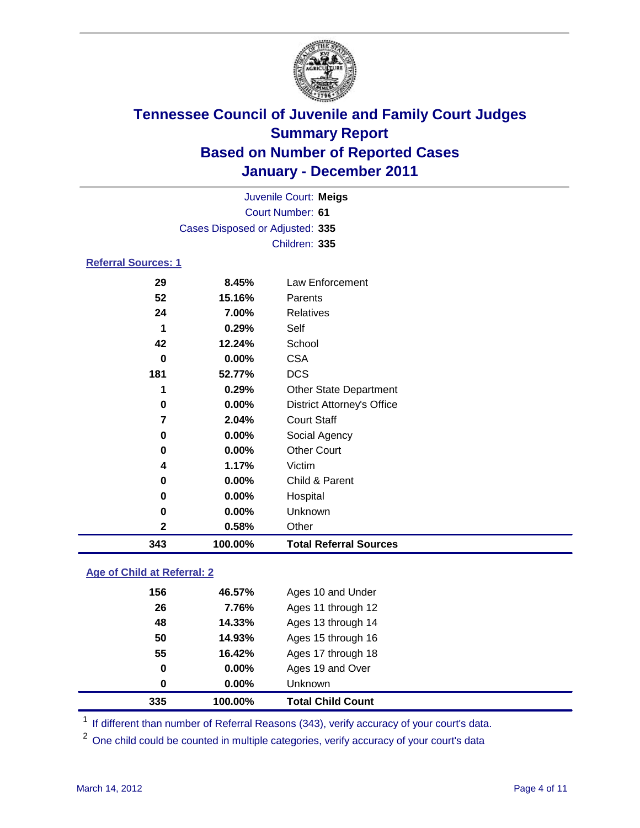

| Juvenile Court: Meigs      |                                 |                                   |  |
|----------------------------|---------------------------------|-----------------------------------|--|
| <b>Court Number: 61</b>    |                                 |                                   |  |
|                            | Cases Disposed or Adjusted: 335 |                                   |  |
|                            |                                 | Children: 335                     |  |
| <b>Referral Sources: 1</b> |                                 |                                   |  |
| 29                         | 8.45%                           | Law Enforcement                   |  |
| 52                         | 15.16%                          | Parents                           |  |
| 24                         | 7.00%                           | <b>Relatives</b>                  |  |
| 1                          | 0.29%                           | Self                              |  |
| 42                         | 12.24%                          | School                            |  |
| 0                          | 0.00%                           | <b>CSA</b>                        |  |
| 181                        | 52.77%                          | <b>DCS</b>                        |  |
| 1                          | 0.29%                           | Other State Department            |  |
| 0                          | 0.00%                           | <b>District Attorney's Office</b> |  |
| 7                          | 2.04%                           | <b>Court Staff</b>                |  |
| 0                          | 0.00%                           | Social Agency                     |  |
| 0                          | 0.00%                           | <b>Other Court</b>                |  |
| 4                          | 1.17%                           | Victim                            |  |
| 0                          | 0.00%                           | Child & Parent                    |  |
| 0                          | 0.00%                           | Hospital                          |  |
| 0                          | 0.00%                           | Unknown                           |  |
| $\mathbf 2$                | 0.58%                           | Other                             |  |
| 343                        | 100.00%                         | <b>Total Referral Sources</b>     |  |

### **Age of Child at Referral: 2**

| 335 | 100.00% | <b>Total Child Count</b> |
|-----|---------|--------------------------|
| 0   | 0.00%   | Unknown                  |
| 0   | 0.00%   | Ages 19 and Over         |
| 55  | 16.42%  | Ages 17 through 18       |
| 50  | 14.93%  | Ages 15 through 16       |
| 48  | 14.33%  | Ages 13 through 14       |
| 26  | 7.76%   | Ages 11 through 12       |
| 156 | 46.57%  | Ages 10 and Under        |
|     |         |                          |

<sup>1</sup> If different than number of Referral Reasons (343), verify accuracy of your court's data.

<sup>2</sup> One child could be counted in multiple categories, verify accuracy of your court's data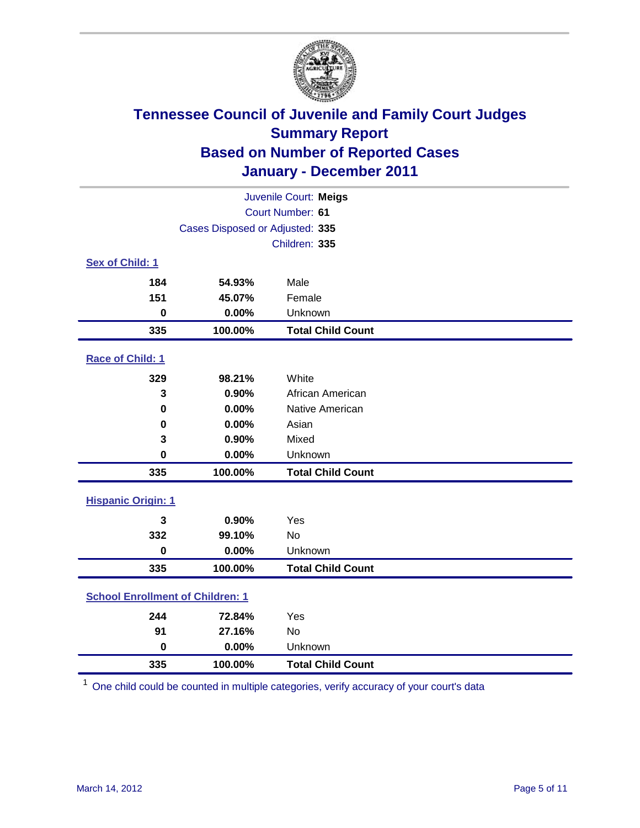

| Juvenile Court: Meigs                   |                                 |                          |  |  |
|-----------------------------------------|---------------------------------|--------------------------|--|--|
| Court Number: 61                        |                                 |                          |  |  |
|                                         | Cases Disposed or Adjusted: 335 |                          |  |  |
|                                         |                                 | Children: 335            |  |  |
| Sex of Child: 1                         |                                 |                          |  |  |
| 184                                     | 54.93%                          | Male                     |  |  |
| 151                                     | 45.07%                          | Female                   |  |  |
| $\mathbf 0$                             | 0.00%                           | Unknown                  |  |  |
| 335                                     | 100.00%                         | <b>Total Child Count</b> |  |  |
| Race of Child: 1                        |                                 |                          |  |  |
| 329                                     | 98.21%                          | White                    |  |  |
| 3                                       | 0.90%                           | African American         |  |  |
| $\mathbf 0$                             | 0.00%                           | Native American          |  |  |
| 0                                       | 0.00%                           | Asian                    |  |  |
| 3                                       | 0.90%                           | Mixed                    |  |  |
| $\mathbf 0$                             | 0.00%                           | Unknown                  |  |  |
| 335                                     | 100.00%                         | <b>Total Child Count</b> |  |  |
| <b>Hispanic Origin: 1</b>               |                                 |                          |  |  |
| 3                                       | 0.90%                           | Yes                      |  |  |
| 332                                     | 99.10%                          | No                       |  |  |
| $\mathbf 0$                             | 0.00%                           | Unknown                  |  |  |
| 335                                     | 100.00%                         | <b>Total Child Count</b> |  |  |
| <b>School Enrollment of Children: 1</b> |                                 |                          |  |  |
| 244                                     | 72.84%                          | Yes                      |  |  |
| 91                                      | 27.16%                          | No                       |  |  |
| $\mathbf 0$                             | 0.00%                           | Unknown                  |  |  |
| 335                                     | 100.00%                         | <b>Total Child Count</b> |  |  |

One child could be counted in multiple categories, verify accuracy of your court's data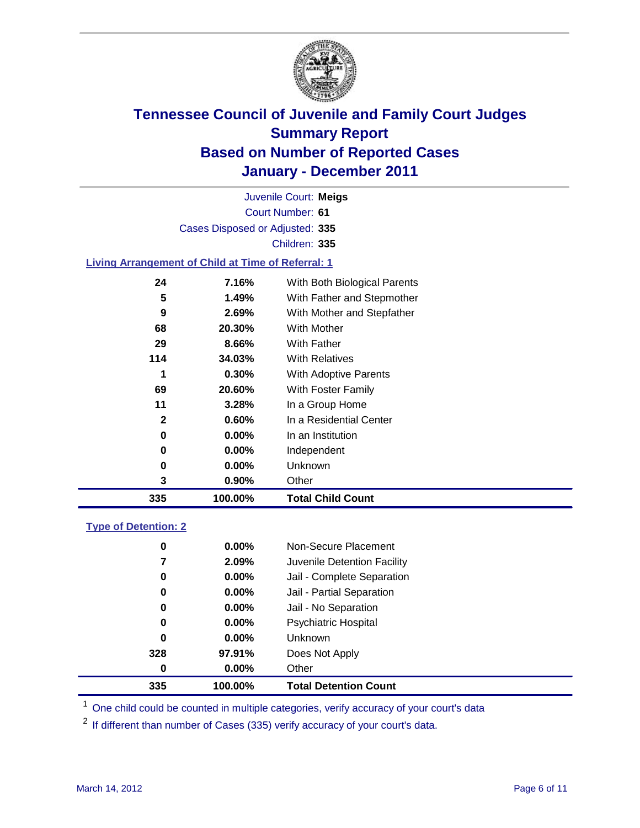

Court Number: **61** Juvenile Court: **Meigs** Cases Disposed or Adjusted: **335** Children: **335**

### **Living Arrangement of Child at Time of Referral: 1**

| 335 | 100.00%  | <b>Total Child Count</b>     |
|-----|----------|------------------------------|
| 3   | 0.90%    | Other                        |
| 0   | 0.00%    | Unknown                      |
| 0   | $0.00\%$ | Independent                  |
| 0   | $0.00\%$ | In an Institution            |
| 2   | 0.60%    | In a Residential Center      |
| 11  | 3.28%    | In a Group Home              |
| 69  | 20.60%   | With Foster Family           |
| 1   | 0.30%    | With Adoptive Parents        |
| 114 | 34.03%   | <b>With Relatives</b>        |
| 29  | 8.66%    | With Father                  |
| 68  | 20.30%   | With Mother                  |
| 9   | 2.69%    | With Mother and Stepfather   |
| 5   | 1.49%    | With Father and Stepmother   |
| 24  | 7.16%    | With Both Biological Parents |
|     |          |                              |

### **Type of Detention: 2**

| 335      | 100.00%  | <b>Total Detention Count</b> |
|----------|----------|------------------------------|
| 0        | $0.00\%$ | Other                        |
| 328      | 97.91%   | Does Not Apply               |
| 0        | $0.00\%$ | <b>Unknown</b>               |
| 0        | 0.00%    | <b>Psychiatric Hospital</b>  |
| $\bf{0}$ | 0.00%    | Jail - No Separation         |
| 0        | $0.00\%$ | Jail - Partial Separation    |
| 0        | $0.00\%$ | Jail - Complete Separation   |
| 7        | 2.09%    | Juvenile Detention Facility  |
| 0        | $0.00\%$ | Non-Secure Placement         |
|          |          |                              |

<sup>1</sup> One child could be counted in multiple categories, verify accuracy of your court's data

<sup>2</sup> If different than number of Cases (335) verify accuracy of your court's data.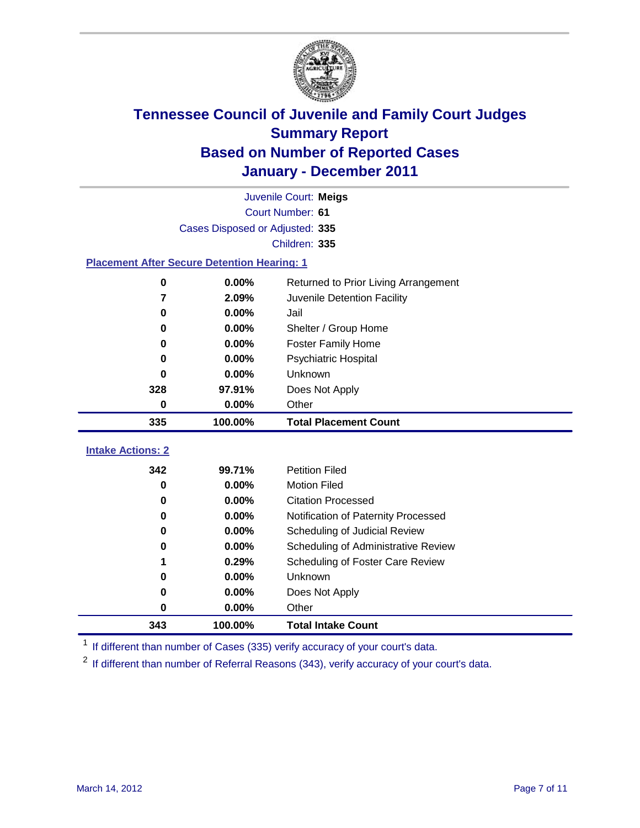

| Juvenile Court: Meigs                              |                                 |                                      |  |  |  |
|----------------------------------------------------|---------------------------------|--------------------------------------|--|--|--|
|                                                    | Court Number: 61                |                                      |  |  |  |
|                                                    | Cases Disposed or Adjusted: 335 |                                      |  |  |  |
|                                                    |                                 | Children: 335                        |  |  |  |
| <b>Placement After Secure Detention Hearing: 1</b> |                                 |                                      |  |  |  |
| $\mathbf 0$                                        | 0.00%                           | Returned to Prior Living Arrangement |  |  |  |
| 7                                                  | 2.09%                           | Juvenile Detention Facility          |  |  |  |
| $\bf{0}$                                           | 0.00%                           | Jail                                 |  |  |  |
| 0                                                  | 0.00%                           | Shelter / Group Home                 |  |  |  |
| 0                                                  | 0.00%                           | Foster Family Home                   |  |  |  |
| 0                                                  | 0.00%                           | Psychiatric Hospital                 |  |  |  |
| 0                                                  | 0.00%                           | Unknown                              |  |  |  |
| 328                                                | 97.91%                          | Does Not Apply                       |  |  |  |
| 0                                                  | $0.00\%$                        | Other                                |  |  |  |
| 335                                                | 100.00%                         | <b>Total Placement Count</b>         |  |  |  |
| <b>Intake Actions: 2</b>                           |                                 |                                      |  |  |  |
| 342                                                | 99.71%                          | <b>Petition Filed</b>                |  |  |  |
| 0                                                  | 0.00%                           | <b>Motion Filed</b>                  |  |  |  |
| 0                                                  | 0.00%                           | <b>Citation Processed</b>            |  |  |  |
| 0                                                  | 0.00%                           | Notification of Paternity Processed  |  |  |  |
| $\bf{0}$                                           | 0.00%                           | Scheduling of Judicial Review        |  |  |  |
| 0                                                  | 0.00%                           | Scheduling of Administrative Review  |  |  |  |
| 1                                                  | 0.29%                           | Scheduling of Foster Care Review     |  |  |  |
| 0                                                  | 0.00%                           | Unknown                              |  |  |  |
| 0                                                  | 0.00%                           | Does Not Apply                       |  |  |  |
| $\pmb{0}$                                          | 0.00%                           | Other                                |  |  |  |
|                                                    |                                 |                                      |  |  |  |
| 343                                                | 100.00%                         | <b>Total Intake Count</b>            |  |  |  |

<sup>1</sup> If different than number of Cases (335) verify accuracy of your court's data.

<sup>2</sup> If different than number of Referral Reasons (343), verify accuracy of your court's data.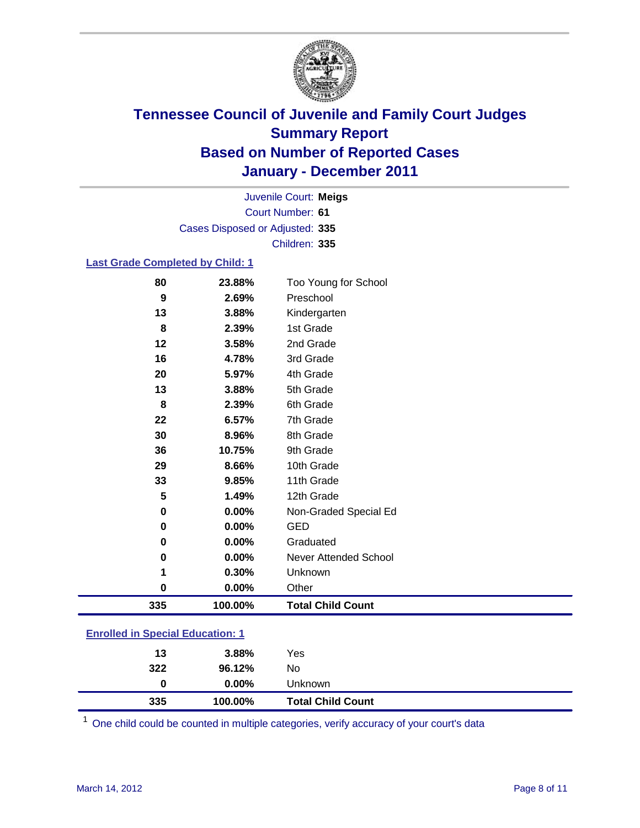

Court Number: **61** Juvenile Court: **Meigs** Cases Disposed or Adjusted: **335** Children: **335**

### **Last Grade Completed by Child: 1**

| 80                                      | 23.88%  | Too Young for School         |  |
|-----------------------------------------|---------|------------------------------|--|
| 9                                       | 2.69%   | Preschool                    |  |
| 13                                      | 3.88%   | Kindergarten                 |  |
| 8                                       | 2.39%   | 1st Grade                    |  |
| 12                                      | 3.58%   | 2nd Grade                    |  |
| 16                                      | 4.78%   | 3rd Grade                    |  |
| 20                                      | 5.97%   | 4th Grade                    |  |
| 13                                      | 3.88%   | 5th Grade                    |  |
| 8                                       | 2.39%   | 6th Grade                    |  |
| 22                                      | 6.57%   | 7th Grade                    |  |
| 30                                      | 8.96%   | 8th Grade                    |  |
| 36                                      | 10.75%  | 9th Grade                    |  |
| 29                                      | 8.66%   | 10th Grade                   |  |
| 33                                      | 9.85%   | 11th Grade                   |  |
| 5                                       | 1.49%   | 12th Grade                   |  |
| 0                                       | 0.00%   | Non-Graded Special Ed        |  |
| 0                                       | 0.00%   | <b>GED</b>                   |  |
| 0                                       | 0.00%   | Graduated                    |  |
| 0                                       | 0.00%   | <b>Never Attended School</b> |  |
| 1                                       | 0.30%   | Unknown                      |  |
| $\mathbf 0$                             | 0.00%   | Other                        |  |
| 335                                     | 100.00% | <b>Total Child Count</b>     |  |
| <b>Enrolled in Special Education: 1</b> |         |                              |  |

| 335                                      | 100.00%  | <b>Total Child Count</b> |  |  |
|------------------------------------------|----------|--------------------------|--|--|
| 0                                        | $0.00\%$ | Unknown                  |  |  |
| 322                                      | 96.12%   | No                       |  |  |
| 13                                       | 3.88%    | Yes                      |  |  |
| <u>Einvilled in Opecial Education. T</u> |          |                          |  |  |

One child could be counted in multiple categories, verify accuracy of your court's data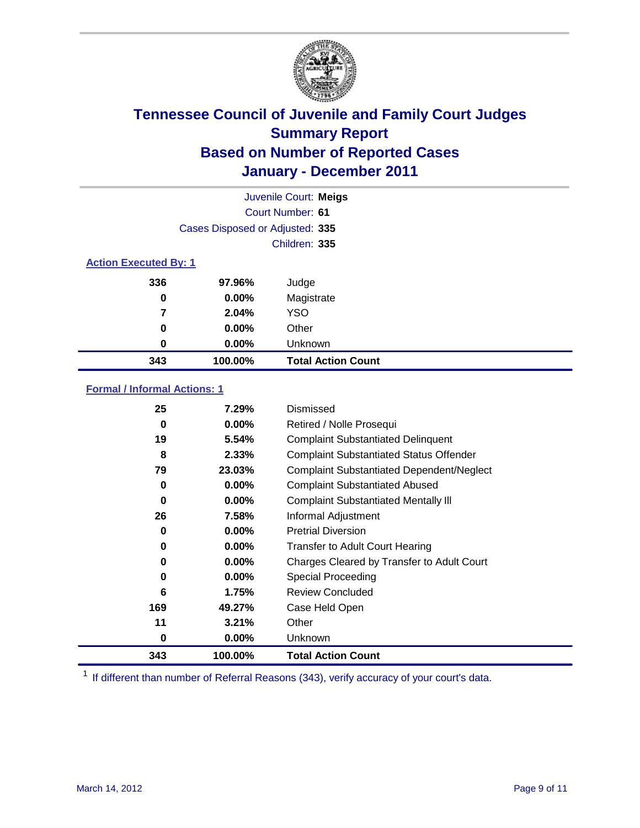

|                              | Juvenile Court: Meigs           |                           |  |  |
|------------------------------|---------------------------------|---------------------------|--|--|
| Court Number: 61             |                                 |                           |  |  |
|                              | Cases Disposed or Adjusted: 335 |                           |  |  |
|                              |                                 | Children: 335             |  |  |
| <b>Action Executed By: 1</b> |                                 |                           |  |  |
| 336                          | 97.96%                          | Judge                     |  |  |
| 0                            | $0.00\%$                        | Magistrate                |  |  |
| 7                            | 2.04%                           | <b>YSO</b>                |  |  |
| 0                            | 0.00%                           | Other                     |  |  |
| 0                            | 0.00%                           | Unknown                   |  |  |
| 343                          | 100.00%                         | <b>Total Action Count</b> |  |  |

### **Formal / Informal Actions: 1**

| 25  | 7.29%    | Dismissed                                        |
|-----|----------|--------------------------------------------------|
| 0   | $0.00\%$ | Retired / Nolle Prosequi                         |
| 19  | 5.54%    | <b>Complaint Substantiated Delinquent</b>        |
| 8   | 2.33%    | <b>Complaint Substantiated Status Offender</b>   |
| 79  | 23.03%   | <b>Complaint Substantiated Dependent/Neglect</b> |
| 0   | 0.00%    | <b>Complaint Substantiated Abused</b>            |
| 0   | $0.00\%$ | <b>Complaint Substantiated Mentally III</b>      |
| 26  | 7.58%    | Informal Adjustment                              |
| 0   | $0.00\%$ | <b>Pretrial Diversion</b>                        |
| 0   | $0.00\%$ | <b>Transfer to Adult Court Hearing</b>           |
| 0   | $0.00\%$ | Charges Cleared by Transfer to Adult Court       |
| 0   | $0.00\%$ | <b>Special Proceeding</b>                        |
| 6   | 1.75%    | <b>Review Concluded</b>                          |
| 169 | 49.27%   | Case Held Open                                   |
| 11  | 3.21%    | Other                                            |
| 0   | $0.00\%$ | <b>Unknown</b>                                   |
| 343 | 100.00%  | <b>Total Action Count</b>                        |

<sup>1</sup> If different than number of Referral Reasons (343), verify accuracy of your court's data.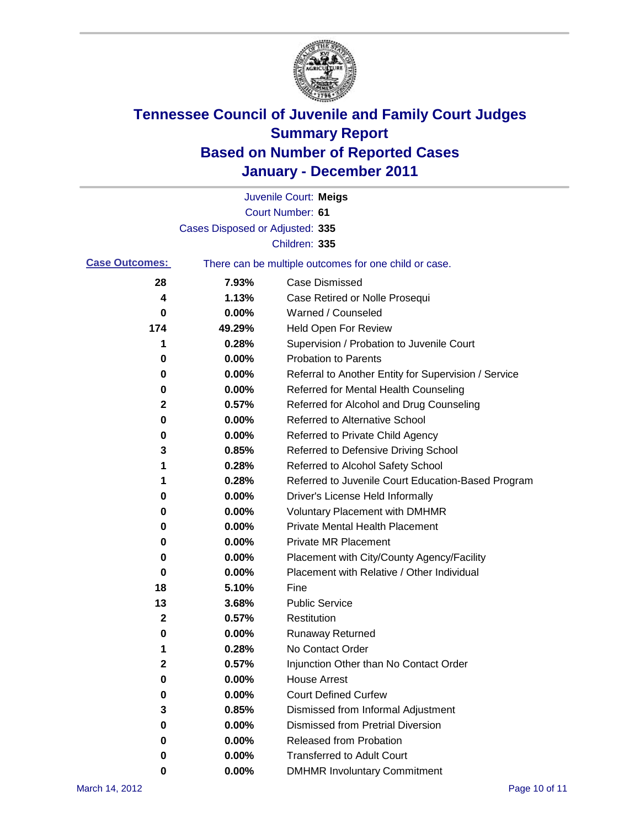

|                       |                                 | Juvenile Court: Meigs                                 |
|-----------------------|---------------------------------|-------------------------------------------------------|
|                       |                                 | <b>Court Number: 61</b>                               |
|                       | Cases Disposed or Adjusted: 335 |                                                       |
|                       |                                 | Children: 335                                         |
| <b>Case Outcomes:</b> |                                 | There can be multiple outcomes for one child or case. |
| 28                    | 7.93%                           | <b>Case Dismissed</b>                                 |
| 4                     | 1.13%                           | Case Retired or Nolle Prosequi                        |
| 0                     | 0.00%                           | Warned / Counseled                                    |
| 174                   | 49.29%                          | Held Open For Review                                  |
| 1                     | 0.28%                           | Supervision / Probation to Juvenile Court             |
| 0                     | 0.00%                           | <b>Probation to Parents</b>                           |
| 0                     | 0.00%                           | Referral to Another Entity for Supervision / Service  |
| 0                     | 0.00%                           | Referred for Mental Health Counseling                 |
| $\mathbf 2$           | 0.57%                           | Referred for Alcohol and Drug Counseling              |
| 0                     | 0.00%                           | <b>Referred to Alternative School</b>                 |
| 0                     | 0.00%                           | Referred to Private Child Agency                      |
| 3                     | 0.85%                           | Referred to Defensive Driving School                  |
| 1                     | 0.28%                           | Referred to Alcohol Safety School                     |
| 1                     | 0.28%                           | Referred to Juvenile Court Education-Based Program    |
| 0                     | 0.00%                           | Driver's License Held Informally                      |
| 0                     | 0.00%                           | <b>Voluntary Placement with DMHMR</b>                 |
| 0                     | 0.00%                           | <b>Private Mental Health Placement</b>                |
| 0                     | 0.00%                           | <b>Private MR Placement</b>                           |
| 0                     | 0.00%                           | Placement with City/County Agency/Facility            |
| 0                     | 0.00%                           | Placement with Relative / Other Individual            |
| 18                    | 5.10%                           | Fine                                                  |
| 13                    | 3.68%                           | <b>Public Service</b>                                 |
| 2                     | 0.57%                           | Restitution                                           |
| 0                     | 0.00%                           | <b>Runaway Returned</b>                               |
| 1                     | 0.28%                           | No Contact Order                                      |
| 2                     | 0.57%                           | Injunction Other than No Contact Order                |
| 0                     | 0.00%                           | <b>House Arrest</b>                                   |
| 0                     | 0.00%                           | <b>Court Defined Curfew</b>                           |
| 3                     | 0.85%                           | Dismissed from Informal Adjustment                    |
| 0                     | 0.00%                           | <b>Dismissed from Pretrial Diversion</b>              |
| 0                     | 0.00%                           | <b>Released from Probation</b>                        |
| 0                     | 0.00%                           | <b>Transferred to Adult Court</b>                     |
| 0                     | $0.00\%$                        | <b>DMHMR Involuntary Commitment</b>                   |